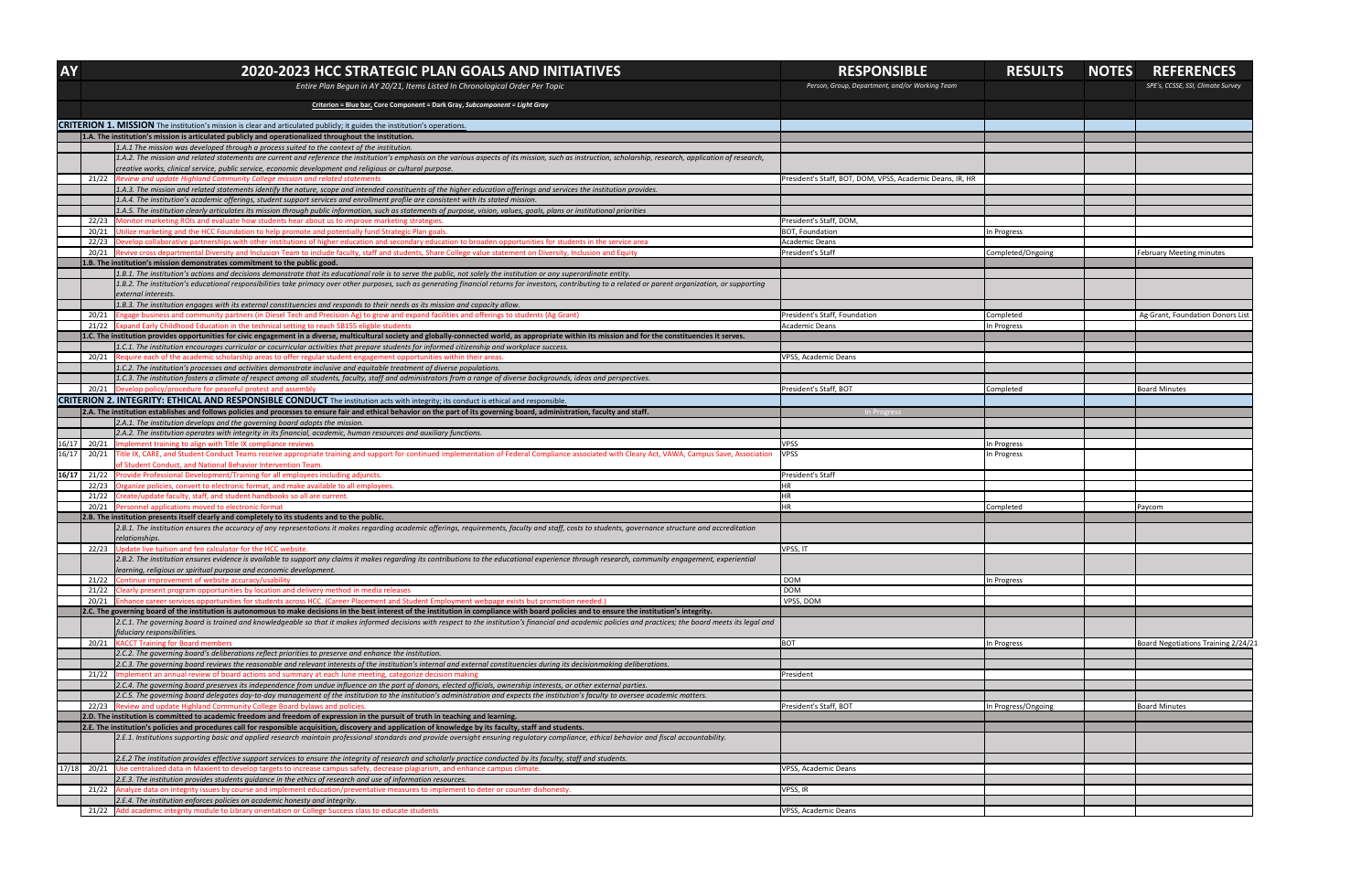| <b>AY</b>                                                                                                                        |                | 2020-2023 HCC STRATEGIC PLAN GOALS AND INITIATIVES                                                                                                                                                                                                                                                                                                                                                             | <b>RESPONSIBLE</b>                                        | <b>RESULTS</b>      | <b>NOTES</b> | <b>REFERENCES</b>                   |
|----------------------------------------------------------------------------------------------------------------------------------|----------------|----------------------------------------------------------------------------------------------------------------------------------------------------------------------------------------------------------------------------------------------------------------------------------------------------------------------------------------------------------------------------------------------------------------|-----------------------------------------------------------|---------------------|--------------|-------------------------------------|
|                                                                                                                                  |                | Entire Plan Begun in AY 20/21, Items Listed In Chronological Order Per Topic                                                                                                                                                                                                                                                                                                                                   | Person, Group, Department, and/or Working Team            |                     |              | SPE's, CCSSE, SSI, Climate Survey   |
|                                                                                                                                  |                | Criterion = Blue bar, Core Component = Dark Gray, Subcomponent = Light Gray                                                                                                                                                                                                                                                                                                                                    |                                                           |                     |              |                                     |
| <b>CRITERION 1. MISSION</b> The institution's mission is clear and articulated publicly; it guides the institution's operations. |                |                                                                                                                                                                                                                                                                                                                                                                                                                |                                                           |                     |              |                                     |
|                                                                                                                                  |                | 1.A. The institution's mission is articulated publicly and operationalized throughout the institution.                                                                                                                                                                                                                                                                                                         |                                                           |                     |              |                                     |
|                                                                                                                                  |                | 1.A.1 The mission was developed through a process suited to the context of the institution.                                                                                                                                                                                                                                                                                                                    |                                                           |                     |              |                                     |
|                                                                                                                                  |                | 1.A.2. The mission and related statements are current and reference the institution's emphasis on the various aspects of its mission, such as instruction, scholarship, research, application of research,<br>creative works, clinical service, public service, economic development and religious or cultural purpose.                                                                                        |                                                           |                     |              |                                     |
|                                                                                                                                  | 21/22          | Review and update Highland Community College mission and related statements                                                                                                                                                                                                                                                                                                                                    | President's Staff, BOT, DOM, VPSS, Academic Deans, IR, HR |                     |              |                                     |
|                                                                                                                                  |                | 1.A.3. The mission and related statements identify the nature, scope and intended constituents of the higher education offerings and services the institution provides.                                                                                                                                                                                                                                        |                                                           |                     |              |                                     |
|                                                                                                                                  |                | 1.A.4. The institution's academic offerings, student support services and enrollment profile are consistent with its stated mission.                                                                                                                                                                                                                                                                           |                                                           |                     |              |                                     |
|                                                                                                                                  |                | 1.A.5. The institution clearly articulates its mission through public information, such as statements of purpose, vision, values, goals, plans or institutional priorities                                                                                                                                                                                                                                     |                                                           |                     |              |                                     |
|                                                                                                                                  | 22/23<br>20/21 | Monitor marketing ROIs and evaluate how students hear about us to improve marketing strategies.<br>Utilize marketing and the HCC Foundation to help promote and potentially fund Strategic Plan goals.                                                                                                                                                                                                         | President's Staff, DOM,<br><b>BOT, Foundation</b>         | In Progress         |              |                                     |
|                                                                                                                                  | 22/23          | Develop collaborative partnerships with other institutions of higher education and secondary education to broaden opportunities for students in the service area                                                                                                                                                                                                                                               | <b>Academic Deans</b>                                     |                     |              |                                     |
|                                                                                                                                  |                | Revive cross departmental Diversity and Inclusion Team to include faculty, staff and students, Share College value statement on Diversity, Inclusion and Equity                                                                                                                                                                                                                                                | President's Staff                                         | Completed/Ongoing   |              | <b>February Meeting minutes</b>     |
|                                                                                                                                  |                | 1.B. The institution's mission demonstrates commitment to the public good.                                                                                                                                                                                                                                                                                                                                     |                                                           |                     |              |                                     |
|                                                                                                                                  |                | 1.B.1. The institution's actions and decisions demonstrate that its educational role is to serve the public, not solely the institution or any superordinate entity.                                                                                                                                                                                                                                           |                                                           |                     |              |                                     |
|                                                                                                                                  |                | 1.B.2. The institution's educational responsibilities take primacy over other purposes, such as generating financial returns for investors, contributing to a related or parent organization, or supporting<br>external interests.                                                                                                                                                                             |                                                           |                     |              |                                     |
|                                                                                                                                  |                | 1.B.3. The institution engages with its external constituencies and responds to their needs as its mission and capacity allow.                                                                                                                                                                                                                                                                                 |                                                           |                     |              |                                     |
|                                                                                                                                  | 20/21          | Engage business and community partners (in Diesel Tech and Precision Ag) to grow and expand facilities and offerings to students (Ag Grant)                                                                                                                                                                                                                                                                    | President's Staff, Foundation                             | Completed           |              | Ag Grant, Foundation Donors List    |
|                                                                                                                                  | 21/22          | Expand Early Childhood Education in the technical setting to reach SB155 eligble students                                                                                                                                                                                                                                                                                                                      | <b>Academic Deans</b>                                     | In Progress         |              |                                     |
|                                                                                                                                  |                | 1.C. The institution provides opportunities for civic engagement in a diverse, multicultural society and globally-connected world, as appropriate within its mission and for the constituencies it serves.<br>1.C.1. The institution encourages curricular or cocurricular activities that prepare students for informed citizenship and workplace success.                                                    |                                                           |                     |              |                                     |
|                                                                                                                                  | 20/21          | Require each of the academic scholarship areas to offer regular student engagement opportunities within their areas.                                                                                                                                                                                                                                                                                           | <b>VPSS, Academic Deans</b>                               |                     |              |                                     |
|                                                                                                                                  |                | 1.C.2. The institution's processes and activities demonstrate inclusive and equitable treatment of diverse populations.                                                                                                                                                                                                                                                                                        |                                                           |                     |              |                                     |
|                                                                                                                                  |                | 1.C.3. The institution fosters a climate of respect among all students, faculty, staff and administrators from a range of diverse backgrounds, ideas and perspectives.                                                                                                                                                                                                                                         |                                                           |                     |              |                                     |
|                                                                                                                                  |                | 20/21 Develop policy/procedure for peaceful protest and assembly                                                                                                                                                                                                                                                                                                                                               | President's Staff, BOT                                    | Completed           |              | <b>Board Minutes</b>                |
|                                                                                                                                  |                | <b>CRITERION 2. INTEGRITY: ETHICAL AND RESPONSIBLE CONDUCT</b> The institution acts with integrity; its conduct is ethical and responsible.                                                                                                                                                                                                                                                                    |                                                           |                     |              |                                     |
|                                                                                                                                  |                | 2.A. The institution establishes and follows policies and processes to ensure fair and ethical behavior on the part of its governing board, administration, faculty and staff.<br>2.A.1. The institution develops and the governing board adopts the mission.                                                                                                                                                  | In Progress                                               |                     |              |                                     |
|                                                                                                                                  |                | [2.A.2. The institution operates with integrity in its financial, academic, human resources and auxiliary functions.                                                                                                                                                                                                                                                                                           |                                                           |                     |              |                                     |
| 16/17                                                                                                                            | 20/21          | Implement training to align with Title IX compliance reviews                                                                                                                                                                                                                                                                                                                                                   | <b>VPSS</b>                                               | In Progress         |              |                                     |
| 16/17                                                                                                                            |                | 20/21 Title IX, CARE, and Student Conduct Teams receive appropriate training and support for continued implementation of Federal Compliance associated with Cleary Act, VAWA, Campus Save, Association<br>of Student Conduct, and National Behavior Intervention Team.                                                                                                                                         | <b>VPSS</b>                                               | In Progress         |              |                                     |
|                                                                                                                                  |                | $16/17$ 21/22 Provide Professional Development/Training for all employees including adjuncts.                                                                                                                                                                                                                                                                                                                  | President's Staff                                         |                     |              |                                     |
|                                                                                                                                  |                | 22/23 Organize policies, convert to electronic format, and make available to all employees                                                                                                                                                                                                                                                                                                                     |                                                           |                     |              |                                     |
|                                                                                                                                  | 21/22          | Create/update faculty, staff, and student handbooks so all are current.                                                                                                                                                                                                                                                                                                                                        |                                                           |                     |              |                                     |
|                                                                                                                                  |                | 20/21 Personnel applications moved to electronic format<br>2.B. The institution presents itself clearly and completely to its students and to the public.                                                                                                                                                                                                                                                      |                                                           | Completed           |              | Paycom                              |
|                                                                                                                                  |                | 2.B.1. The institution ensures the accuracy of any representations it makes regarding academic offerings, requirements, faculty and staff, costs to students, governance structure and accreditation                                                                                                                                                                                                           |                                                           |                     |              |                                     |
|                                                                                                                                  |                | relationships.                                                                                                                                                                                                                                                                                                                                                                                                 |                                                           |                     |              |                                     |
|                                                                                                                                  | 22/23          | Update live tuition and fee calculator for the HCC website.                                                                                                                                                                                                                                                                                                                                                    | VPSS, IT                                                  |                     |              |                                     |
|                                                                                                                                  |                | [2.B.2. The institution ensures evidence is available to support any claims it makes regarding its contributions to the educational experience through research, community engagement, experiential<br>learning, religious or spiritual purpose and economic development.                                                                                                                                      |                                                           |                     |              |                                     |
|                                                                                                                                  | 21/22          | Continue improvement of website accuracy/usability                                                                                                                                                                                                                                                                                                                                                             | <b>DOM</b>                                                | In Progress         |              |                                     |
|                                                                                                                                  | 21/22          | Clearly present program opportunities by location and delivery method in media releases                                                                                                                                                                                                                                                                                                                        | <b>DOM</b>                                                |                     |              |                                     |
|                                                                                                                                  | 20/21          | Enhance career services opportunities for students across HCC. (Career Placement and Student Employment webpage exists but promotion needed.)                                                                                                                                                                                                                                                                  | VPSS, DOM                                                 |                     |              |                                     |
|                                                                                                                                  |                | 2.C. The governing board of the institution is autonomous to make decisions in the best interest of the institution in compliance with board policies and to ensure the institution's integrity.<br>2.C.1. The governing board is trained and knowledgeable so that it makes informed decisions with respect to the institution's financial and academic policies and practices; the board meets its legal and |                                                           |                     |              |                                     |
|                                                                                                                                  |                | fiduciary responsibilities.                                                                                                                                                                                                                                                                                                                                                                                    |                                                           |                     |              |                                     |
|                                                                                                                                  | 20/21          | <b>KACCT Training for Board members</b>                                                                                                                                                                                                                                                                                                                                                                        | <b>BOT</b>                                                | In Progress         |              | Board Negotiations Training 2/24/21 |
|                                                                                                                                  |                | [2.C.2. The governing board's deliberations reflect priorities to preserve and enhance the institution.                                                                                                                                                                                                                                                                                                        |                                                           |                     |              |                                     |
|                                                                                                                                  |                | 2.C.3. The governing board reviews the reasonable and relevant interests of the institution's internal and external constituencies during its decisionmaking deliberations.                                                                                                                                                                                                                                    |                                                           |                     |              |                                     |
|                                                                                                                                  |                | 21/22   Implement an annual review of board actions and summary at each June meeting, categorize decision making<br>[2.C.4. The governing board preserves its independence from undue influence on the part of donors, elected officials, ownership interests, or other external parties.                                                                                                                      | President                                                 |                     |              |                                     |
|                                                                                                                                  |                | 2.C.5. The governing board delegates day-to-day management of the institution to the institution's administration and expects the institution's faculty to oversee academic matters.                                                                                                                                                                                                                           |                                                           |                     |              |                                     |
|                                                                                                                                  |                | 22/23 Review and update Highland Community College Board bylaws and policies                                                                                                                                                                                                                                                                                                                                   | President's Staff, BOT                                    | In Progress/Ongoing |              | <b>Board Minutes</b>                |
|                                                                                                                                  |                | 2.D. The institution is committed to academic freedom and freedom of expression in the pursuit of truth in teaching and learning.                                                                                                                                                                                                                                                                              |                                                           |                     |              |                                     |
|                                                                                                                                  |                | 2.E. The institution's policies and procedures call for responsible acquisition, discovery and application of knowledge by its faculty, staff and students.<br>2.E.1. Institutions supporting basic and applied research maintain professional standards and provide oversight ensuring regulatory compliance, ethical behavior and fiscal accountability.                                                     |                                                           |                     |              |                                     |
|                                                                                                                                  |                |                                                                                                                                                                                                                                                                                                                                                                                                                |                                                           |                     |              |                                     |
|                                                                                                                                  |                | 2.E.2 The institution provides effective support services to ensure the integrity of research and scholarly practice conducted by its faculty, staff and students.                                                                                                                                                                                                                                             |                                                           |                     |              |                                     |
| 17/18                                                                                                                            |                | 20/21 Use centralized data in Maxient to develop targets to increase campus safety, decrease plagiarism, and enhance campus climate.                                                                                                                                                                                                                                                                           | <b>VPSS, Academic Deans</b>                               |                     |              |                                     |
|                                                                                                                                  |                | [2.E.3. The institution provides students guidance in the ethics of research and use of information resources.<br>Analyze data on integrity issues by course and implement education/preventative measures to implement to deter or counter dishonesty.                                                                                                                                                        | VPSS, IR                                                  |                     |              |                                     |
|                                                                                                                                  | 21/22          | 2.E.4. The institution enforces policies on academic honesty and integrity.                                                                                                                                                                                                                                                                                                                                    |                                                           |                     |              |                                     |
|                                                                                                                                  |                | 21/22 Add academic integrity module to Library orientation or College Success class to educate students                                                                                                                                                                                                                                                                                                        | <b>VPSS, Academic Deans</b>                               |                     |              |                                     |
|                                                                                                                                  |                |                                                                                                                                                                                                                                                                                                                                                                                                                |                                                           |                     |              |                                     |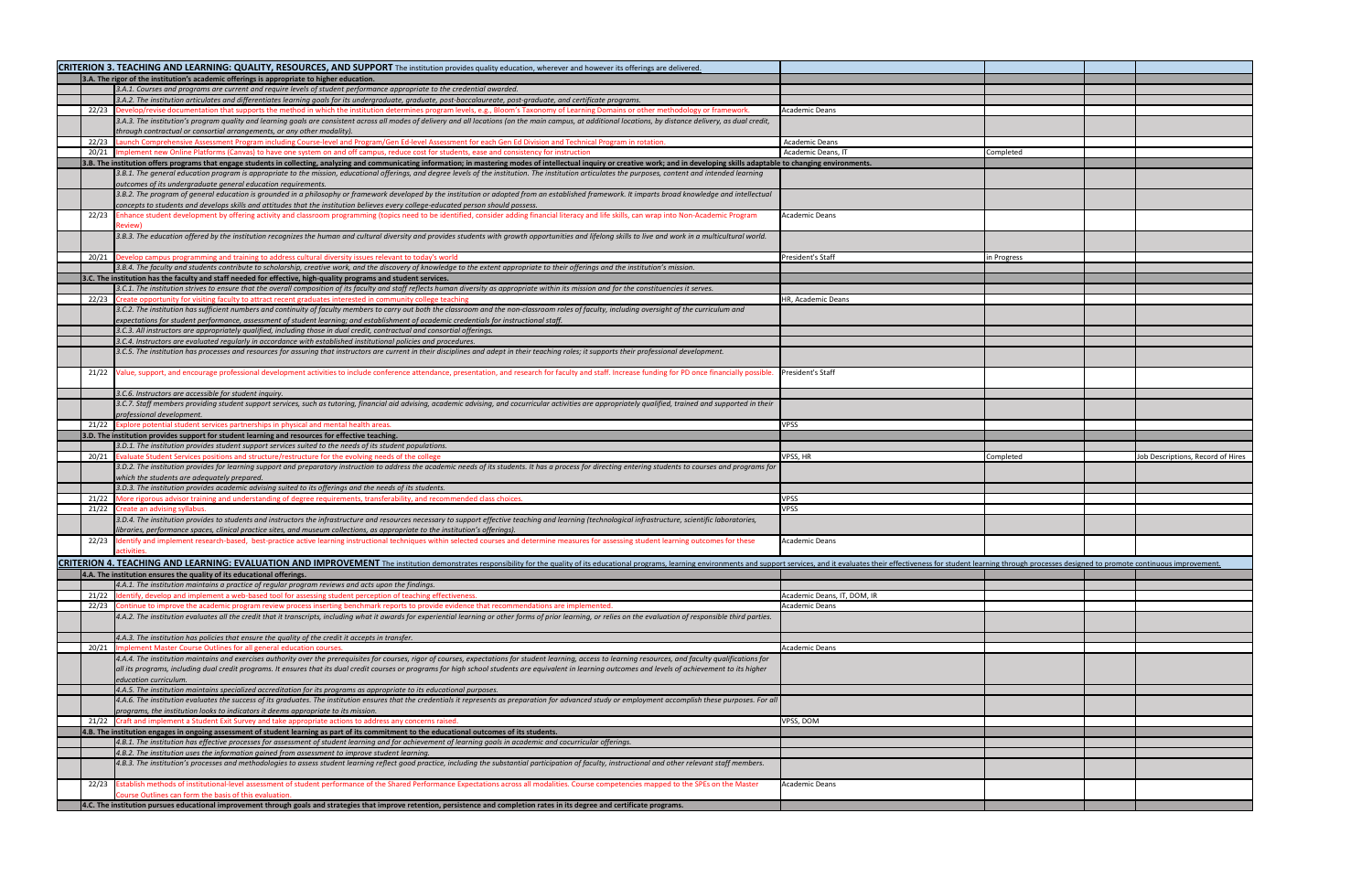|                                                                                            |       | CRITERION 3. TEACHING AND LEARNING: QUALITY, RESOURCES, AND SUPPORT The institution provides quality education, wherever and however its offerings are delivered.                                                                                                                                                                            |                             |             |  |                                   |
|--------------------------------------------------------------------------------------------|-------|----------------------------------------------------------------------------------------------------------------------------------------------------------------------------------------------------------------------------------------------------------------------------------------------------------------------------------------------|-----------------------------|-------------|--|-----------------------------------|
| 3.A. The rigor of the institution's academic offerings is appropriate to higher education. |       |                                                                                                                                                                                                                                                                                                                                              |                             |             |  |                                   |
|                                                                                            |       | [3.A.1. Courses and programs are current and require levels of student performance appropriate to the credential awarded.                                                                                                                                                                                                                    |                             |             |  |                                   |
|                                                                                            |       | 3.A.2. The institution articulates and differentiates learning goals for its undergraduate, graduate, post-baccalaureate, post-graduate, and certificate programs.                                                                                                                                                                           |                             |             |  |                                   |
|                                                                                            |       | 22/23 Develop/revise documentation that supports the method in which the institution determines program levels, e.g., Bloom's Taxonomy of Learning Domains or other methodology or framework.                                                                                                                                                | Academic Deans              |             |  |                                   |
|                                                                                            |       | [3.A.3. The institution's program quality and learning goals are consistent across all modes of delivery and all locations (on the main campus, at additional locations, by distance delivery, as dual credit,<br>through contractual or consortial arrangements, or any other modality).                                                    |                             |             |  |                                   |
|                                                                                            |       | 22/23 Launch Comprehensive Assessment Program including Course-level and Program/Gen Ed-level Assessment for each Gen Ed Division and Technical Program in rotation.                                                                                                                                                                         | <b>Academic Deans</b>       |             |  |                                   |
|                                                                                            |       | 20/21  Implement new Online Platforms (Canvas) to have one system on and off campus, reduce cost for students, ease and consistency for instruction                                                                                                                                                                                          | Academic Deans, IT          | Completed   |  |                                   |
|                                                                                            |       | 3.B. The institution offers programs that engage students in collecting, analyzing and communicating information; in mastering modes of intellectual inquiry or creative work; and in developing skills adaptable to changing                                                                                                                |                             |             |  |                                   |
|                                                                                            |       | 3.B.1. The general education program is appropriate to the mission, educational offerings, and degree levels of the institution. The institution articulates the purposes, content and intended learning<br>outcomes of its undergraduate general education requirements.                                                                    |                             |             |  |                                   |
|                                                                                            |       | 3.B.2. The program of general education is grounded in a philosophy or framework developed by the institution or adopted from an established framework. It imparts broad knowledge and intellectual<br>concepts to students and develops skills and attitudes that the institution believes every college-educated person should possess.    |                             |             |  |                                   |
|                                                                                            |       | 22/23 Enhance student development by offering activity and classroom programming (topics need to be identified, consider adding financial literacy and life skills, can wrap into Non-Academic Program<br>Review                                                                                                                             | Academic Deans              |             |  |                                   |
|                                                                                            |       | 3.B.3. The education offered by the institution recognizes the human and cultural diversity and provides students with growth opportunities and lifelong skills to live and work in a multicultural world.                                                                                                                                   |                             |             |  |                                   |
|                                                                                            |       | 20/21  Develop campus programming and training to address cultural diversity issues relevant to today's world                                                                                                                                                                                                                                | President's Staff           | in Progress |  |                                   |
|                                                                                            |       | [3.B.4. The faculty and students contribute to scholarship, creative work, and the discovery of knowledge to the extent appropriate to their offerings and the institution's mission.                                                                                                                                                        |                             |             |  |                                   |
|                                                                                            |       | 3.C. The institution has the faculty and staff needed for effective, high-quality programs and student services.                                                                                                                                                                                                                             |                             |             |  |                                   |
|                                                                                            |       | 3.C.1. The institution strives to ensure that the overall composition of its faculty and staff reflects human diversity as appropriate within its mission and for the constituencies it serves.                                                                                                                                              |                             |             |  |                                   |
|                                                                                            | 22/23 | Create opportunity for visiting faculty to attract recent graduates interested in community college teaching                                                                                                                                                                                                                                 | HR, Academic Deans          |             |  |                                   |
|                                                                                            |       | 3.C.2. The institution has sufficient numbers and continuity of faculty members to carry out both the classroom and the non-classroom roles of faculty, including oversight of the curriculum and                                                                                                                                            |                             |             |  |                                   |
|                                                                                            |       | expectations for student performance, assessment of student learning; and establishment of academic credentials for instructional staff.                                                                                                                                                                                                     |                             |             |  |                                   |
|                                                                                            |       | 3.C.3. All instructors are appropriately qualified, including those in dual credit, contractual and consortial offerings.                                                                                                                                                                                                                    |                             |             |  |                                   |
|                                                                                            |       | 3.C.4. Instructors are evaluated regularly in accordance with established institutional policies and procedures.                                                                                                                                                                                                                             |                             |             |  |                                   |
|                                                                                            |       | 3.C.5. The institution has processes and resources for assuring that instructors are current in their disciplines and adept in their teaching roles; it supports their professional development.                                                                                                                                             |                             |             |  |                                   |
|                                                                                            |       | 21/22 Value, support, and encourage professional development activities to include conference attendance, presentation, and research for faculty and staff. Increase funding for PD once financially possible.                                                                                                                               | President's Staff           |             |  |                                   |
|                                                                                            |       | 3.C.6. Instructors are accessible for student inquiry.                                                                                                                                                                                                                                                                                       |                             |             |  |                                   |
|                                                                                            |       | 3.C.7. Staff members providing student support services, such as tutoring, financial aid advising, academic advising, and cocurricular activities are appropriately qualified, trained and supported in their                                                                                                                                |                             |             |  |                                   |
|                                                                                            |       | professional development.                                                                                                                                                                                                                                                                                                                    |                             |             |  |                                   |
|                                                                                            |       | 21/22 Explore potential student services partnerships in physical and mental health areas.                                                                                                                                                                                                                                                   | <b>VPSS</b>                 |             |  |                                   |
|                                                                                            |       |                                                                                                                                                                                                                                                                                                                                              |                             |             |  |                                   |
|                                                                                            |       | 3.D. The institution provides support for student learning and resources for effective teaching.                                                                                                                                                                                                                                             |                             |             |  |                                   |
|                                                                                            |       | 3.D.1. The institution provides student support services suited to the needs of its student populations.                                                                                                                                                                                                                                     |                             |             |  |                                   |
|                                                                                            |       | 20/21 Evaluate Student Services positions and structure/restructure for the evolving needs of the college                                                                                                                                                                                                                                    | VPSS, HR                    | Completed   |  | Job Descriptions, Record of Hires |
|                                                                                            |       | 3.D.2. The institution provides for learning support and preparatory instruction to address the academic needs of its students. It has a process for directing entering students to courses and programs for                                                                                                                                 |                             |             |  |                                   |
|                                                                                            |       | which the students are adequately prepared.<br>3.D.3. The institution provides academic advising suited to its offerings and the needs of its students.                                                                                                                                                                                      |                             |             |  |                                   |
|                                                                                            |       | 21/22 More rigorous advisor training and understanding of degree requirements, transferability, and recommended class choices                                                                                                                                                                                                                | /PSS                        |             |  |                                   |
|                                                                                            |       | 21/22 Create an advising syllabus.                                                                                                                                                                                                                                                                                                           | <b>VPSS</b>                 |             |  |                                   |
|                                                                                            |       | 3.D.4. The institution provides to students and instructors the infrastructure and resources necessary to support effective teaching and learning (technological infrastructure, scientific laboratories,<br>libraries, performance spaces, clinical practice sites, and museum collections, as appropriate to the institution's offerings). |                             |             |  |                                   |
|                                                                                            |       | 22/23 Identify and implement research-based, best-practice active learning instructional techniques within selected courses and determine measures for assessing student learning outcomes for these<br>activities                                                                                                                           | Academic Deans              |             |  |                                   |
|                                                                                            |       |                                                                                                                                                                                                                                                                                                                                              |                             |             |  |                                   |
|                                                                                            |       | CRITERION 4. TEACHING AND LEARNING: EVALUATION AND IMPROVEMENT The institution demonstrates responsibility for the quality of its educational programs, learning environments and support services, and it evaluates their eff                                                                                                               |                             |             |  |                                   |
|                                                                                            |       | 4.A. The institution ensures the quality of its educational offerings.                                                                                                                                                                                                                                                                       |                             |             |  |                                   |
|                                                                                            |       | 4.A.1. The institution maintains a practice of regular program reviews and acts upon the findings.<br>21/22  Identify, develop and implement a web-based tool for assessing student perception of teaching effectiveness                                                                                                                     | Academic Deans, IT, DOM, IF |             |  |                                   |
|                                                                                            |       | 22/23 Continue to improve the academic program review process inserting benchmark reports to provide evidence that recommendations are implemented.                                                                                                                                                                                          | <b>Academic Deans</b>       |             |  |                                   |
|                                                                                            |       | 4.A.2. The institution evaluates all the credit that it transcripts, including what it awards for experiential learning or other forms of prior learning, or relies on the evaluation of responsible third parties.                                                                                                                          |                             |             |  |                                   |
|                                                                                            |       | 4.A.3. The institution has policies that ensure the quality of the credit it accepts in transfer.                                                                                                                                                                                                                                            |                             |             |  |                                   |
|                                                                                            |       | 20/21   Implement Master Course Outlines for all general education courses.                                                                                                                                                                                                                                                                  | <b>Academic Deans</b>       |             |  |                                   |
|                                                                                            |       | 4.A.4. The institution maintains and exercises authority over the prerequisites for courses, rigor of courses, expectations for student learning, access to learning resources, and faculty qualifications for                                                                                                                               |                             |             |  |                                   |
|                                                                                            |       | all its programs, including dual credit programs. It ensures that its dual credit courses or programs for high school students are equivalent in learning outcomes and levels of achievement to its higher<br>education curriculum.                                                                                                          |                             |             |  |                                   |
|                                                                                            |       | 4.A.5. The institution maintains specialized accreditation for its programs as appropriate to its educational purposes.                                                                                                                                                                                                                      |                             |             |  |                                   |
|                                                                                            |       | 4.A.6. The institution evaluates the success of its graduates. The institution ensures that the credentials it represents as preparation for advanced study or employment accomplish these purposes. For all                                                                                                                                 |                             |             |  |                                   |
|                                                                                            |       | programs, the institution looks to indicators it deems appropriate to its mission.                                                                                                                                                                                                                                                           |                             |             |  |                                   |
|                                                                                            |       | 21/22 Craft and implement a Student Exit Survey and take appropriate actions to address any concerns raised.                                                                                                                                                                                                                                 | VPSS, DOM                   |             |  |                                   |
|                                                                                            |       | 4.B. The institution engages in ongoing assessment of student learning as part of its commitment to the educational outcomes of its students.                                                                                                                                                                                                |                             |             |  |                                   |
|                                                                                            |       | 4.B.1. The institution has effective processes for assessment of student learning and for achievement of learning goals in academic and cocurricular offerings.                                                                                                                                                                              |                             |             |  |                                   |
|                                                                                            |       | 4.B.2. The institution uses the information gained from assessment to improve student learning.<br>4.B.3. The institution's processes and methodologies to assess student learning reflect good practice, including the substantial participation of faculty, instructional and other relevant staff members.                                |                             |             |  |                                   |
|                                                                                            |       | 22/23 Establish methods of institutional-level assessment of student performance of the Shared Performance Expectations across all modalities. Course competencies mapped to the SPEs on the Master                                                                                                                                          | Academic Deans              |             |  |                                   |
|                                                                                            |       | Course Outlines can form the basis of this evaluation.<br>4.C. The institution pursues educational improvement through goals and strategies that improve retention, persistence and completion rates in its degree and certificate programs.                                                                                                 |                             |             |  |                                   |